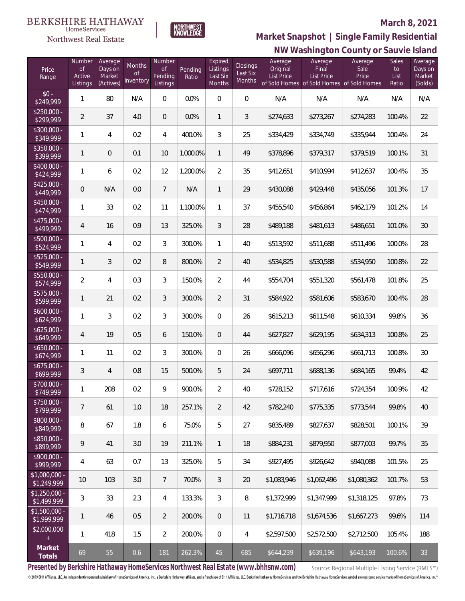

 $\label{lem:sevices} \textsc{Home} \textsc{Service} \textsc{s}$ Northwest Real Estate

# **NW Washington County or Sauvie Island Market Snapshot | Single Family Residential**

| Price<br>Range                | Number<br><b>of</b><br>Active<br>Listings | Average<br>Days on<br>Market<br>(Actives) | Months<br>0f<br>Inventory | Number<br>Οf<br>Pending<br>Listings | Pending<br>Ratio | Expired<br>Listings<br>Last Six<br>Months | Closings<br>Last Six<br>Months | Average<br>Original<br><b>List Price</b> | Average<br>Final<br><b>List Price</b><br>of Sold Homes of Sold Homes of Sold Homes | Average<br>Sale<br>Price | <b>Sales</b><br>to<br>List<br>Ratio | Average<br>Days on<br>Market<br>(Solds) |
|-------------------------------|-------------------------------------------|-------------------------------------------|---------------------------|-------------------------------------|------------------|-------------------------------------------|--------------------------------|------------------------------------------|------------------------------------------------------------------------------------|--------------------------|-------------------------------------|-----------------------------------------|
| $$0 -$<br>\$249,999           | 1                                         | 80                                        | N/A                       | $\boldsymbol{0}$                    | 0.0%             | $\overline{0}$                            | $\mathbf 0$                    | N/A                                      | N/A                                                                                | N/A                      | N/A                                 | N/A                                     |
| $$250,000 -$<br>\$299,999     | $\overline{2}$                            | 37                                        | 4.0                       | $\overline{0}$                      | 0.0%             | $\mathbf{1}$                              | 3                              | \$274,633                                | \$273,267                                                                          | \$274,283                | 100.4%                              | 22                                      |
| $$300,000 -$<br>\$349,999     | 1                                         | 4                                         | 0.2                       | 4                                   | 400.0%           | 3                                         | 25                             | \$334,429                                | \$334,749                                                                          | \$335,944                | 100.4%                              | 24                                      |
| $$350,000 -$<br>\$399,999     | 1                                         | $\theta$                                  | 0.1                       | 10                                  | 1,000.0%         | $\mathbf{1}$                              | 49                             | \$378,896                                | \$379,317                                                                          | \$379,519                | 100.1%                              | 31                                      |
| \$400,000 -<br>\$424,999      | 1                                         | 6                                         | 0.2                       | 12                                  | 1,200.0%         | $\overline{2}$                            | 35                             | \$412,651                                | \$410,994                                                                          | \$412,637                | 100.4%                              | 35                                      |
| $$425,000 -$<br>\$449,999     | 0                                         | N/A                                       | 0.0                       | $\overline{7}$                      | N/A              | $\mathbf{1}$                              | 29                             | \$430,088                                | \$429,448                                                                          | \$435,056                | 101.3%                              | 17                                      |
| $$450,000 -$<br>\$474,999     | 1                                         | 33                                        | 0.2                       | 11                                  | 1,100.0%         | 1                                         | 37                             | \$455,540                                | \$456,864                                                                          | \$462,179                | 101.2%                              | 14                                      |
| $$475,000 -$<br>\$499,999     | 4                                         | 16                                        | 0.9                       | 13                                  | 325.0%           | 3                                         | 28                             | \$489,188                                | \$481,613                                                                          | \$486,651                | 101.0%                              | 30                                      |
| \$500,000 -<br>\$524,999      | 1                                         | 4                                         | 0.2                       | 3                                   | 300.0%           | 1                                         | 40                             | \$513,592                                | \$511,688                                                                          | \$511,496                | 100.0%                              | 28                                      |
| $$525,000 -$<br>\$549,999     | 1                                         | 3                                         | 0.2                       | 8                                   | 800.0%           | $\overline{2}$                            | 40                             | \$534,825                                | \$530,588                                                                          | \$534,950                | 100.8%                              | 22                                      |
| \$550,000 -<br>\$574,999      | $\overline{2}$                            | 4                                         | 0.3                       | 3                                   | 150.0%           | $\overline{2}$                            | 44                             | \$554,704                                | \$551,320                                                                          | \$561,478                | 101.8%                              | 25                                      |
| $$575,000 -$<br>\$599,999     | 1                                         | 21                                        | 0.2                       | 3                                   | 300.0%           | $\overline{2}$                            | 31                             | \$584,922                                | \$581,606                                                                          | \$583,670                | 100.4%                              | 28                                      |
| $$600,000 -$<br>\$624,999     | 1                                         | 3                                         | 0.2                       | 3                                   | 300.0%           | 0                                         | 26                             | \$615,213                                | \$611,548                                                                          | \$610,334                | 99.8%                               | 36                                      |
| $$625,000 -$<br>\$649,999     | 4                                         | 19                                        | 0.5                       | 6                                   | 150.0%           | $\overline{0}$                            | 44                             | \$627,827                                | \$629,195                                                                          | \$634,313                | 100.8%                              | 25                                      |
| $$650,000 -$<br>\$674,999     | 1                                         | 11                                        | 0.2                       | 3                                   | 300.0%           | 0                                         | 26                             | \$666,096                                | \$656,296                                                                          | \$661,713                | 100.8%                              | $30\,$                                  |
| $$675,000 -$<br>\$699,999     | 3                                         | $\overline{4}$                            | 0.8                       | 15                                  | 500.0%           | 5                                         | 24                             | \$697,711                                | \$688,136                                                                          | \$684,165                | 99.4%                               | 42                                      |
| \$700,000 -<br>\$749,999      | 1                                         | 208                                       | 0.2                       | 9                                   | 900.0%           | $\overline{2}$                            | 40                             | \$728,152                                | \$717,616                                                                          | \$724,354                | 100.9%                              | 42                                      |
| $$750,000 -$<br>\$799,999     | $\overline{7}$                            | 61                                        | 1.0                       | 18                                  | 257.1%           | $\overline{2}$                            | 42                             | \$782,240                                | \$775,335                                                                          | \$773,544                | 99.8%                               | 40                                      |
| \$800,000 -<br>\$849,999      | 8                                         | 67                                        | 1.8                       | 6                                   | 75.0%            | 5                                         | 27                             | \$835,489                                | \$827,637                                                                          | \$828,501                | 100.1%                              | 39                                      |
| \$850,000 -<br>\$899,999      | 9                                         | 41                                        | 3.0                       | 19                                  | 211.1%           | $\mathbf{1}$                              | 18                             | \$884,231                                | \$879,950                                                                          | \$877,003                | 99.7%                               | 35                                      |
| $$900.000 -$<br>\$999,999     | 4                                         | 63                                        | 0.7                       | 13                                  | 325.0%           | 5                                         | 34                             | \$927,495                                | \$926.642                                                                          | \$940.088                | 101.5%                              | 25                                      |
| $$1,000,000$ -<br>\$1,249,999 | 10                                        | 103                                       | 3.0                       | $7\phantom{.0}$                     | 70.0%            | 3                                         | 20                             | \$1,083,946                              | \$1,062,496                                                                        | \$1,080,362              | 101.7%                              | 53                                      |
| $$1,250,000 -$<br>\$1,499,999 | 3                                         | 33                                        | 2.3                       | $\overline{4}$                      | 133.3%           | 3                                         | 8                              | \$1,372,999                              | \$1,347,999                                                                        | \$1,318,125              | 97.8%                               | 73                                      |
| $$1,500,000$ -<br>\$1,999,999 | 1                                         | 46                                        | 0.5                       | $\overline{2}$                      | 200.0%           | $\overline{0}$                            | 11                             | \$1,716,718                              | \$1,674,536                                                                        | \$1,667,273              | 99.6%                               | 114                                     |
| \$2,000,000                   | 1                                         | 418                                       | 1.5                       | $\overline{2}$                      | 200.0%           | $\overline{0}$                            | 4                              | \$2,597,500                              | \$2,572,500                                                                        | \$2,712,500              | 105.4%                              | 188                                     |
| Market<br>Totals              | 69                                        | 55                                        | 0.6                       | 181                                 | 262.3%           | 45                                        | 685                            | \$644,239                                | \$639,196                                                                          | \$643,193                | 100.6%                              | 33                                      |

**Presented by Berkshire Hathaway HomeServices Northwest Real Estate (www.bhhsnw.com)**

Source: Regional Multiple Listing Service (RMLS™)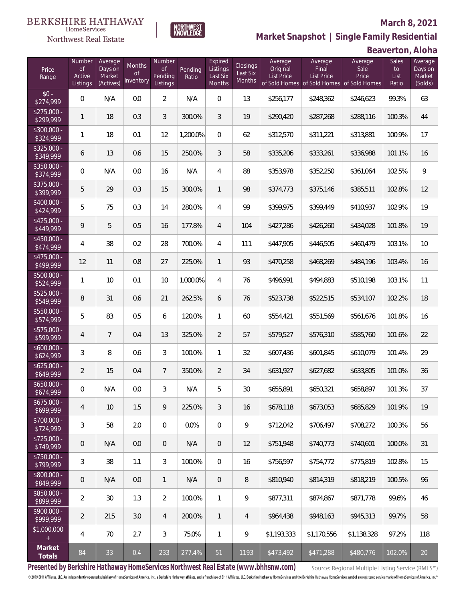

**NORTHWEST**<br>KNOWLEDGE

Northwest Real Estate

**Market Snapshot | Single Family Residential**

### **Beaverton, Aloha**

| Price<br>Range            | Number<br>of<br>Active<br>Listings | Average<br>Days on<br>Market<br>(Actives) | Months<br>Οf<br>Inventory | Number<br><b>of</b><br>Pending<br>Listings | Pending<br>Ratio | Expired<br>Listings<br>Last Six<br>Months | Closings<br>Last Six<br>Months | Average<br>Original<br><b>List Price</b> | Average<br>Final<br>List Price<br>of Sold Homes of Sold Homes of Sold Homes | Average<br>Sale<br>Price | Sales<br>to<br>List<br>Ratio | Average<br>Days on<br>Market<br>(Solds) |
|---------------------------|------------------------------------|-------------------------------------------|---------------------------|--------------------------------------------|------------------|-------------------------------------------|--------------------------------|------------------------------------------|-----------------------------------------------------------------------------|--------------------------|------------------------------|-----------------------------------------|
| $$0 -$<br>\$274,999       | $\overline{0}$                     | N/A                                       | 0.0                       | $\overline{2}$                             | N/A              | $\overline{0}$                            | 13                             | \$256,177                                | \$248,362                                                                   | \$246,623                | 99.3%                        | 63                                      |
| $$275,000 -$<br>\$299,999 | $\mathbf{1}$                       | 18                                        | 0.3                       | 3                                          | 300.0%           | 3                                         | 19                             | \$290,420                                | \$287,268                                                                   | \$288,116                | 100.3%                       | 44                                      |
| $$300,000 -$<br>\$324,999 | $\mathbf{1}$                       | 18                                        | 0.1                       | 12                                         | 1,200.0%         | $\overline{0}$                            | 62                             | \$312,570                                | \$311,221                                                                   | \$313,881                | 100.9%                       | 17                                      |
| $$325,000 -$<br>\$349,999 | 6                                  | 13                                        | 0.6                       | 15                                         | 250.0%           | 3                                         | 58                             | \$335,206                                | \$333,261                                                                   | \$336,988                | 101.1%                       | 16                                      |
| $$350,000 -$<br>\$374,999 | $\overline{0}$                     | N/A                                       | 0.0                       | 16                                         | N/A              | $\overline{4}$                            | 88                             | \$353,978                                | \$352,250                                                                   | \$361,064                | 102.5%                       | 9                                       |
| $$375,000 -$<br>\$399,999 | 5                                  | 29                                        | 0.3                       | 15                                         | 300.0%           | $\mathbf{1}$                              | 98                             | \$374,773                                | \$375,146                                                                   | \$385,511                | 102.8%                       | 12                                      |
| $$400,000 -$<br>\$424,999 | 5                                  | 75                                        | 0.3                       | 14                                         | 280.0%           | $\overline{4}$                            | 99                             | \$399,975                                | \$399,449                                                                   | \$410,937                | 102.9%                       | 19                                      |
| $$425,000 -$<br>\$449,999 | 9                                  | 5                                         | 0.5                       | 16                                         | 177.8%           | $\overline{4}$                            | 104                            | \$427,286                                | \$426,260                                                                   | \$434,028                | 101.8%                       | 19                                      |
| $$450,000 -$<br>\$474,999 | 4                                  | 38                                        | 0.2                       | 28                                         | 700.0%           | $\overline{4}$                            | 111                            | \$447,905                                | \$446,505                                                                   | \$460,479                | 103.1%                       | 10                                      |
| $$475,000 -$<br>\$499,999 | 12                                 | 11                                        | 0.8                       | 27                                         | 225.0%           | $\mathbf{1}$                              | 93                             | \$470,258                                | \$468,269                                                                   | \$484,196                | 103.4%                       | 16                                      |
| $$500,000 -$<br>\$524,999 | 1                                  | 10                                        | 0.1                       | 10                                         | 1,000.0%         | $\overline{4}$                            | 76                             | \$496,991                                | \$494,883                                                                   | \$510,198                | 103.1%                       | 11                                      |
| \$525,000 -<br>\$549,999  | 8                                  | 31                                        | 0.6                       | 21                                         | 262.5%           | 6                                         | 76                             | \$523,738                                | \$522,515                                                                   | \$534,107                | 102.2%                       | 18                                      |
| \$550,000 -<br>\$574,999  | 5                                  | 83                                        | 0.5                       | 6                                          | 120.0%           | $\mathbf{1}$                              | 60                             | \$554,421                                | \$551,569                                                                   | \$561,676                | 101.8%                       | 16                                      |
| $$575,000 -$<br>\$599,999 | 4                                  | $7\overline{ }$                           | 0.4                       | 13                                         | 325.0%           | $\overline{2}$                            | 57                             | \$579,527                                | \$576,310                                                                   | \$585,760                | 101.6%                       | 22                                      |
| $$600,000 -$<br>\$624,999 | 3                                  | 8                                         | 0.6                       | 3                                          | 100.0%           | $\mathbf{1}$                              | 32                             | \$607,436                                | \$601,845                                                                   | \$610,079                | 101.4%                       | 29                                      |
| $$625,000 -$<br>\$649,999 | $\overline{2}$                     | 15                                        | 0.4                       | $7\overline{ }$                            | 350.0%           | $\overline{2}$                            | 34                             | \$631,927                                | \$627,682                                                                   | \$633,805                | 101.0%                       | 36                                      |
| $$650,000 -$<br>\$674,999 | 0                                  | N/A                                       | 0.0                       | 3                                          | N/A              | 5                                         | 30                             | \$655,891                                | \$650,321                                                                   | \$658,897                | 101.3%                       | 37                                      |
| $$675,000 -$<br>\$699,999 | 4                                  | 10                                        | 1.5                       | 9                                          | 225.0%           | $\mathfrak{Z}$                            | 16                             | \$678,118                                | \$673,053                                                                   | \$685,829                | 101.9%                       | 19                                      |
| $$700,000 -$<br>\$724,999 | 3                                  | 58                                        | 2.0                       | $\mathbf 0$                                | 0.0%             | $\mathbf 0$                               | 9                              | \$712,042                                | \$706,497                                                                   | \$708,272                | 100.3%                       | 56                                      |
| $$725,000 -$<br>\$749,999 | $\mathsf{O}\xspace$                | N/A                                       | 0.0                       | $\overline{0}$                             | N/A              | $\overline{0}$                            | 12                             | \$751,948                                | \$740,773                                                                   | \$740,601                | 100.0%                       | 31                                      |
| $$750,000 -$<br>\$799,999 | 3                                  | 38                                        | 1.1                       | $\mathfrak{Z}$                             | 100.0%           | $\mathbf 0$                               | 16                             | \$756,597                                | \$754,772                                                                   | \$775,819                | 102.8%                       | 15                                      |
| $$800,000 -$<br>\$849,999 | $\mathsf{O}\xspace$                | N/A                                       | 0.0                       | $\mathbf{1}$                               | N/A              | $\overline{0}$                            | 8                              | \$810,940                                | \$814,319                                                                   | \$818,219                | 100.5%                       | 96                                      |
| \$850,000 -<br>\$899,999  | $\overline{2}$                     | 30                                        | 1.3                       | $\overline{2}$                             | 100.0%           | $\mathbf{1}$                              | 9                              | \$877,311                                | \$874,867                                                                   | \$871,778                | 99.6%                        | 46                                      |
| $$900,000 -$<br>\$999,999 | $\overline{2}$                     | 215                                       | 3.0                       | $\overline{4}$                             | 200.0%           | $\mathbf{1}$                              | 4                              | \$964,438                                | \$948,163                                                                   | \$945,313                | 99.7%                        | 58                                      |
| \$1,000,000<br>$+$        | 4                                  | 70                                        | 2.7                       | $\mathfrak{Z}$                             | 75.0%            | $\mathbf{1}$                              | 9                              | \$1,193,333                              | \$1,170,556                                                                 | \$1,138,328              | 97.2%                        | 118                                     |
| Market<br>Totals          | 84                                 | 33                                        | 0.4                       | 233                                        | 277.4%           | 51                                        | 1193                           | \$473,492                                | \$471,288                                                                   | \$480,776                | 102.0%                       | $20\,$                                  |

**Presented by Berkshire Hathaway HomeServices Northwest Real Estate (www.bhhsnw.com)**

Source: Regional Multiple Listing Service (RMLS™)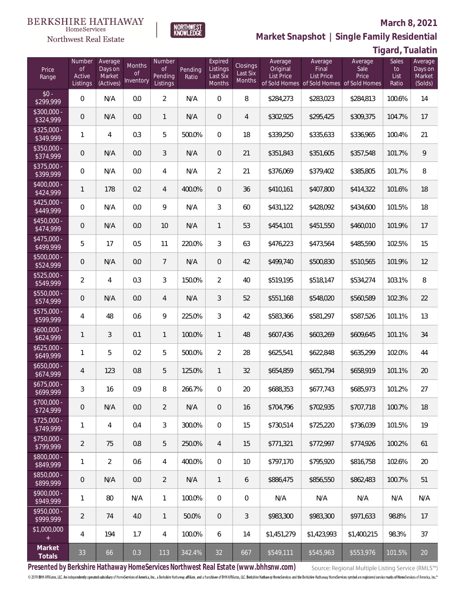

**NORTHWEST**<br>KNOWLEDGE

Northwest Real Estate

## **Market Snapshot | Single Family Residential**

| Tigard, Tualatin |  |  |
|------------------|--|--|
|------------------|--|--|

| Price<br>Range            | Number<br>of<br>Active<br>Listings | Average<br>Days on<br>Market<br>(Actives) | Months<br>Οf<br>Inventory | Number<br><b>of</b><br><b>Pending</b><br>Listings | Pending<br>Ratio | Expired<br>Listings<br>Last Six<br>Months | Closings<br>Last Six<br>Months | Average<br>Original<br><b>List Price</b> | Average<br>Final<br>List Price<br>of Sold Homes of Sold Homes | Average<br>Sale<br>Price<br>of Sold Homes | Sales<br>to<br>List<br>Ratio | Average<br>Days on<br>Market<br>(Solds) |
|---------------------------|------------------------------------|-------------------------------------------|---------------------------|---------------------------------------------------|------------------|-------------------------------------------|--------------------------------|------------------------------------------|---------------------------------------------------------------|-------------------------------------------|------------------------------|-----------------------------------------|
| $$0 -$<br>\$299,999       | $\overline{0}$                     | N/A                                       | 0.0                       | $\overline{2}$                                    | N/A              | $\overline{0}$                            | 8                              | \$284,273                                | \$283,023                                                     | \$284,813                                 | 100.6%                       | 14                                      |
| \$300,000 -<br>\$324,999  | $\overline{0}$                     | N/A                                       | 0.0                       | $\mathbf{1}$                                      | N/A              | $\overline{0}$                            | $\overline{4}$                 | \$302,925                                | \$295,425                                                     | \$309,375                                 | 104.7%                       | 17                                      |
| $$325,000 -$<br>\$349,999 | 1                                  | 4                                         | 0.3                       | 5                                                 | 500.0%           | $\overline{0}$                            | 18                             | \$339,250                                | \$335,633                                                     | \$336,965                                 | 100.4%                       | 21                                      |
| \$350,000 -<br>\$374,999  | 0                                  | N/A                                       | 0.0                       | 3                                                 | N/A              | $\overline{0}$                            | 21                             | \$351,843                                | \$351,605                                                     | \$357,548                                 | 101.7%                       | 9                                       |
| \$375,000 -<br>\$399,999  | $\mathbf{0}$                       | N/A                                       | 0.0                       | 4                                                 | N/A              | $\overline{2}$                            | 21                             | \$376,069                                | \$379,402                                                     | \$385,805                                 | 101.7%                       | 8                                       |
| \$400,000 -<br>\$424,999  | 1                                  | 178                                       | 0.2                       | 4                                                 | 400.0%           | $\overline{0}$                            | 36                             | \$410,161                                | \$407,800                                                     | \$414,322                                 | 101.6%                       | 18                                      |
| $$425,000 -$<br>\$449,999 | $\overline{0}$                     | N/A                                       | 0.0                       | 9                                                 | N/A              | 3                                         | 60                             | \$431,122                                | \$428,092                                                     | \$434,600                                 | 101.5%                       | 18                                      |
| \$450,000 -<br>\$474,999  | 0                                  | N/A                                       | 0.0                       | 10                                                | N/A              | $\mathbf{1}$                              | 53                             | \$454,101                                | \$451,550                                                     | \$460,010                                 | 101.9%                       | 17                                      |
| $$475,000 -$<br>\$499,999 | 5                                  | 17                                        | 0.5                       | 11                                                | 220.0%           | 3                                         | 63                             | \$476,223                                | \$473,564                                                     | \$485,590                                 | 102.5%                       | 15                                      |
| \$500,000 -<br>\$524,999  | $\overline{0}$                     | N/A                                       | 0.0                       | $\overline{7}$                                    | N/A              | $\overline{0}$                            | 42                             | \$499,740                                | \$500,830                                                     | \$510,565                                 | 101.9%                       | 12                                      |
| \$525,000 -<br>\$549,999  | $\overline{2}$                     | 4                                         | 0.3                       | 3                                                 | 150.0%           | 2                                         | 40                             | \$519,195                                | \$518,147                                                     | \$534,274                                 | 103.1%                       | 8                                       |
| $$550,000 -$<br>\$574,999 | 0                                  | N/A                                       | 0.0                       | $\overline{4}$                                    | N/A              | 3                                         | 52                             | \$551,168                                | \$548,020                                                     | \$560,589                                 | 102.3%                       | 22                                      |
| $$575,000 -$<br>\$599,999 | 4                                  | 48                                        | 0.6                       | 9                                                 | 225.0%           | 3                                         | 42                             | \$583,366                                | \$581,297                                                     | \$587,526                                 | 101.1%                       | 13                                      |
| $$600,000 -$<br>\$624,999 | 1                                  | 3                                         | 0.1                       | $\mathbf{1}$                                      | 100.0%           | $\mathbf{1}$                              | 48                             | \$607,436                                | \$603,269                                                     | \$609,645                                 | 101.1%                       | 34                                      |
| $$625,000 -$<br>\$649,999 | 1                                  | 5                                         | 0.2                       | 5                                                 | 500.0%           | $\overline{2}$                            | 28                             | \$625,541                                | \$622,848                                                     | \$635,299                                 | 102.0%                       | 44                                      |
| $$650,000 -$<br>\$674,999 | 4                                  | 123                                       | $0.8\,$                   | 5                                                 | 125.0%           | $\mathbf{1}$                              | 32                             | \$654,859                                | \$651,794                                                     | \$658,919                                 | 101.1%                       | 20                                      |
| $$675,000 -$<br>\$699,999 | 3                                  | 16                                        | 0.9                       | 8                                                 | 266.7%           | $\overline{0}$                            | 20                             | \$688,353                                | \$677,743                                                     | \$685,973                                 | 101.2%                       | 27                                      |
| $$700,000 -$<br>\$724,999 | 0                                  | N/A                                       | 0.0                       | $\overline{2}$                                    | N/A              | $\theta$                                  | 16                             | \$704,796                                | \$702.935                                                     | \$707,718                                 | 100.7%                       | 18                                      |
| $$725,000 -$<br>\$749,999 | 1                                  | $\overline{4}$                            | 0.4                       | 3                                                 | 300.0%           | $\overline{0}$                            | 15                             | \$730,514                                | \$725,220                                                     | \$736,039                                 | 101.5%                       | 19                                      |
| $$750,000 -$<br>\$799,999 | $\overline{2}$                     | 75                                        | 0.8                       | 5                                                 | 250.0%           | $\overline{4}$                            | 15                             | \$771,321                                | \$772.997                                                     | \$774.926                                 | 100.2%                       | 61                                      |
| $$800,000 -$<br>\$849,999 | 1                                  | $\overline{2}$                            | 0.6                       | $\overline{4}$                                    | 400.0%           | $\boldsymbol{0}$                          | 10                             | \$797,170                                | \$795.920                                                     | \$816,758                                 | 102.6%                       | 20                                      |
| \$850,000 -<br>\$899,999  | $\overline{0}$                     | N/A                                       | 0.0                       | $\overline{2}$                                    | N/A              | $\mathbf{1}$                              | 6                              | \$886,475                                | \$856,550                                                     | \$862.483                                 | 100.7%                       | 51                                      |
| $$900,000 -$<br>\$949,999 | 1                                  | 80                                        | N/A                       | $\mathbf{1}$                                      | 100.0%           | $\boldsymbol{0}$                          | $\mathbf 0$                    | N/A                                      | N/A                                                           | N/A                                       | N/A                          | N/A                                     |
| \$950,000 -<br>\$999,999  | $\overline{2}$                     | 74                                        | 4.0                       | $\overline{1}$                                    | 50.0%            | $\overline{0}$                            | 3                              | \$983,300                                | \$983,300                                                     | \$971,633                                 | 98.8%                        | 17                                      |
| \$1,000,000<br>$+$        | 4                                  | 194                                       | 1.7                       | $\overline{4}$                                    | 100.0%           | 6                                         | 14                             | \$1,451,279                              | \$1,423,993                                                   | \$1,400,215                               | 98.3%                        | 37                                      |
| Market<br>Totals          | 33                                 | 66                                        | 0.3                       | 113                                               | 342.4%           | 32                                        | 667                            | \$549,111                                | \$545,963                                                     | \$553,976                                 | 101.5%                       | 20                                      |

**Presented by Berkshire Hathaway HomeServices Northwest Real Estate (www.bhhsnw.com)**

Source: Regional Multiple Listing Service (RMLS™)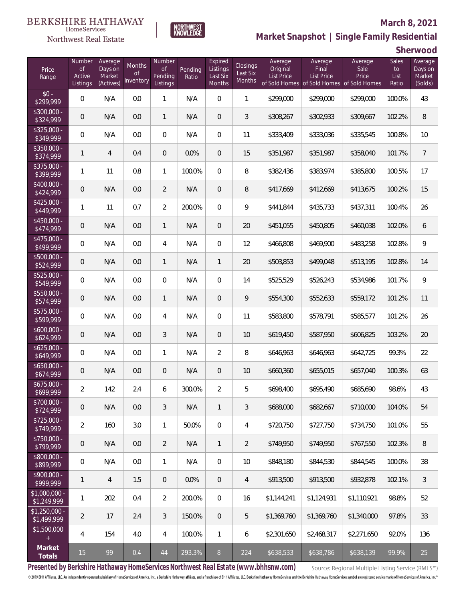#### **BERKSHIRE HATHAWAY** HomeServices

**NORTHWEST**<br>KNOWLEDGE

Northwest Real Estate

## **Market Snapshot | Single Family Residential**

**Sherwood**

| Price<br>Range                           | Number<br>of<br>Active<br>Listings | Average<br>Days on<br>Market<br>(Actives) | Months<br>Οf<br>Inventory | Number<br>Οf<br>Pending<br>Listings | Pending<br>Ratio | Expired<br>Listings<br>Last Six<br>Months | Closings<br>Last Six<br>Months | Average<br>Original<br><b>List Price</b> | Average<br>Final<br><b>List Price</b><br>of Sold Homes of Sold Homes of Sold Homes | Average<br>Sale<br>Price | Sales<br>to<br>List<br>Ratio | Average<br>Days on<br>Market<br>(Solds) |
|------------------------------------------|------------------------------------|-------------------------------------------|---------------------------|-------------------------------------|------------------|-------------------------------------------|--------------------------------|------------------------------------------|------------------------------------------------------------------------------------|--------------------------|------------------------------|-----------------------------------------|
| $$0 -$<br>\$299,999                      | $\overline{0}$                     | N/A                                       | 0.0                       | 1                                   | N/A              | $\Omega$                                  | $\mathbf{1}$                   | \$299,000                                | \$299,000                                                                          | \$299,000                | 100.0%                       | 43                                      |
| $$300,000 -$<br>\$324,999                | 0                                  | N/A                                       | 0.0                       | $\mathbf{1}$                        | N/A              | $\Omega$                                  | 3                              | \$308,267                                | \$302,933                                                                          | \$309,667                | 102.2%                       | 8                                       |
| $$325,000 -$<br>\$349,999                | $\overline{0}$                     | N/A                                       | 0.0                       | $\overline{0}$                      | N/A              | $\Omega$                                  | 11                             | \$333,409                                | \$333,036                                                                          | \$335,545                | 100.8%                       | 10                                      |
| $$350,000 -$<br>\$374,999                | 1                                  | $\overline{4}$                            | 0.4                       | $\overline{0}$                      | 0.0%             | $\Omega$                                  | 15                             | \$351,987                                | \$351,987                                                                          | \$358,040                | 101.7%                       | $\overline{7}$                          |
| $$375,000 -$<br>\$399,999                | 1                                  | 11                                        | 0.8                       | $\mathbf{1}$                        | 100.0%           | $\Omega$                                  | 8                              | \$382,436                                | \$383,974                                                                          | \$385,800                | 100.5%                       | 17                                      |
| $$400,000 -$<br>\$424,999                | $\overline{0}$                     | N/A                                       | 0.0                       | $\overline{2}$                      | N/A              | $\overline{0}$                            | 8                              | \$417,669                                | \$412,669                                                                          | \$413,675                | 100.2%                       | 15                                      |
| $$425,000 -$<br>\$449,999                | 1                                  | 11                                        | 0.7                       | $\overline{2}$                      | 200.0%           | $\Omega$                                  | 9                              | \$441,844                                | \$435,733                                                                          | \$437,311                | 100.4%                       | 26                                      |
| $$450,000 -$<br>\$474,999                | $\overline{0}$                     | N/A                                       | 0.0                       | $\big $                             | N/A              | $\overline{0}$                            | 20                             | \$451,055                                | \$450,805                                                                          | \$460,038                | 102.0%                       | 6                                       |
| $$475,000 -$<br>$\sqrt{$499,999}$        | $\overline{0}$                     | N/A                                       | 0.0                       | $\overline{4}$                      | N/A              | $\Omega$                                  | 12                             | \$466,808                                | \$469,900                                                                          | \$483,258                | 102.8%                       | 9                                       |
| $$500,000 -$<br>\$524,999                | $\overline{0}$                     | N/A                                       | 0.0                       | $\mathbf{1}$                        | N/A              | $\mathbf{1}$                              | 20                             | \$503,853                                | \$499,048                                                                          | \$513,195                | 102.8%                       | 14                                      |
| $$525,000 -$<br>\$549,999                | $\overline{0}$                     | N/A                                       | 0.0                       | $\overline{0}$                      | N/A              | $\overline{0}$                            | 14                             | \$525,529                                | \$526,243                                                                          | \$534,986                | 101.7%                       | 9                                       |
| $$550,000 -$<br>\$574,999                | 0                                  | N/A                                       | 0.0                       | $\mathbf{1}$                        | N/A              | $\overline{0}$                            | 9                              | \$554,300                                | \$552,633                                                                          | \$559,172                | 101.2%                       | 11                                      |
| $$575,000 -$<br>\$599,999                | $\overline{0}$                     | N/A                                       | 0.0                       | 4                                   | N/A              | $\overline{0}$                            | 11                             | \$583,800                                | \$578,791                                                                          | \$585,577                | 101.2%                       | 26                                      |
| $$600,000 -$<br>\$624,999                | $\overline{0}$                     | N/A                                       | 0.0                       | 3                                   | N/A              | $\overline{0}$                            | 10                             | \$619,450                                | \$587,950                                                                          | \$606,825                | 103.2%                       | 20                                      |
| $$625,000 -$<br>\$649,999                | $\overline{0}$                     | N/A                                       | 0.0                       | $\mathbf{1}$                        | N/A              | $\overline{2}$                            | 8                              | \$646,963                                | \$646,963                                                                          | \$642,725                | 99.3%                        | 22                                      |
| $$650,000 -$<br>\$674,999                | 0                                  | N/A                                       | 0.0                       | $\overline{0}$                      | N/A              | $\overline{0}$                            | 10                             | \$660,360                                | \$655,015                                                                          | \$657,040                | 100.3%                       | 63                                      |
| $$675,000 -$<br>\$699,999                | $\overline{2}$                     | 142                                       | 2.4                       | 6                                   | 300.0%           | $\overline{2}$                            | 5                              | \$698,400                                | \$695,490                                                                          | \$685,690                | 98.6%                        | 43                                      |
| $$700,000 -$<br>\$724,999                | $\mathbf 0$                        | N/A                                       | 0.0                       | 3                                   | N/A              | $\mathbf{1}$                              | 3                              | \$688,000                                | \$682,667                                                                          | \$710,000                | 104.0%                       | 54                                      |
| $$725,000 -$<br>\$749,999                | $\overline{2}$                     | 160                                       | 3.0                       | $\mathbf{1}$                        | 50.0%            | $\mathbf 0$                               | 4                              | \$720,750                                | \$727,750                                                                          | \$734,750                | 101.0%                       | 55                                      |
| \$750,000 -<br>\$799,999                 | $\mathbf 0$                        | N/A                                       | 0.0                       | $\overline{2}$                      | N/A              | $\mathbf{1}$                              | $\overline{2}$                 | \$749,950                                | \$749,950                                                                          | \$767,550                | 102.3%                       | 8                                       |
| $$800,000 -$<br>\$899,999                | $\mathbf 0$                        | N/A                                       | 0.0                       | $\mathbf{1}$                        | N/A              | $\mathbf 0$                               | 10                             | \$848,180                                | \$844,530                                                                          | \$844,545                | 100.0%                       | 38                                      |
| $$900,000 -$<br>\$999,999                | 1                                  | $\overline{4}$                            | 1.5                       | $\theta$                            | 0.0%             | $\mathbf 0$                               | $\overline{4}$                 | \$913,500                                | \$913,500                                                                          | \$932,878                | 102.1%                       | $\mathfrak{Z}$                          |
| $\overline{$1,000,000}$ -<br>\$1,249,999 | 1                                  | 202                                       | 0.4                       | $\overline{2}$                      | 200.0%           | $\boldsymbol{0}$                          | 16                             | \$1,144,241                              | \$1,124,931                                                                        | \$1,110,921              | 98.8%                        | 52                                      |
| $$1,250,000$ -<br>\$1,499,999            | $\overline{2}$                     | 17                                        | 2.4                       | 3                                   | 150.0%           | $\overline{0}$                            | 5                              | \$1,369,760                              | \$1,369,760                                                                        | \$1,340,000              | 97.8%                        | 33                                      |
| \$1,500,000<br>$+$                       | 4                                  | 154                                       | 4.0                       | $\overline{4}$                      | 100.0%           | $\mathbf{1}$                              | 6                              | \$2,301,650                              | \$2,468,317                                                                        | \$2,271,650              | 92.0%                        | 136                                     |
| Market<br>Totals                         | 15                                 | 99                                        | 0.4                       | $44$                                | 293.3%           | $8\,$                                     | 224                            | \$638,533                                | \$638,786                                                                          | \$638,139                | 99.9%                        | 25                                      |

**Presented by Berkshire Hathaway HomeServices Northwest Real Estate (www.bhhsnw.com)**

Source: Regional Multiple Listing Service (RMLS™)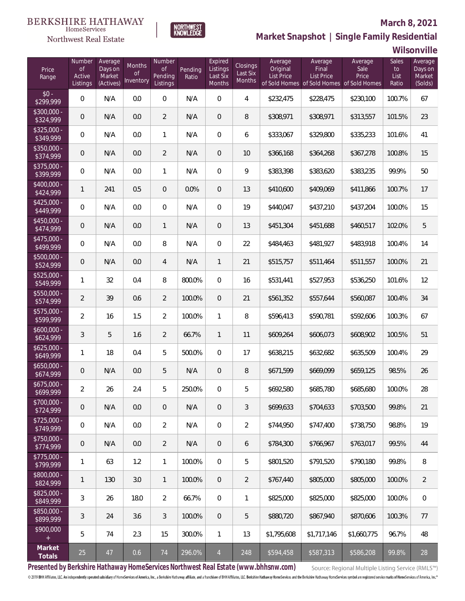#### **BERKSHIRE HATHAWAY** HomeServices

**NORTHWEST**<br>KNOWLEDGE



### **Market Snapshot | Single Family Residential**

**Wilsonville**

| Price<br>Range            | Number<br>of<br>Active<br>Listings | Average<br>Days on<br>Market<br>(Actives) | <b>Months</b><br>0f<br>Inventory | Number<br><b>of</b><br>Pending<br>Listings | Pending<br>Ratio | Expired<br>Listings<br>Last Six<br>Months | Closings<br>Last Six<br><b>Months</b> | Average<br>Original<br><b>List Price</b> | Average<br>Final<br><b>List Price</b><br>of Sold Homes of Sold Homes | Average<br>Sale<br>Price<br>of Sold Homes | Sales<br>to<br>List<br>Ratio | Average<br>Days on<br>Market<br>(Solds) |
|---------------------------|------------------------------------|-------------------------------------------|----------------------------------|--------------------------------------------|------------------|-------------------------------------------|---------------------------------------|------------------------------------------|----------------------------------------------------------------------|-------------------------------------------|------------------------------|-----------------------------------------|
| $$0 -$<br>\$299,999       | $\overline{0}$                     | N/A                                       | 0.0                              | $\overline{0}$                             | N/A              | $\overline{0}$                            | $\overline{4}$                        | \$232,475                                | \$228,475                                                            | \$230,100                                 | 100.7%                       | 67                                      |
| $$300,000 -$<br>\$324,999 | 0                                  | N/A                                       | 0.0                              | $\overline{2}$                             | N/A              | $\overline{0}$                            | 8                                     | \$308,971                                | \$308,971                                                            | \$313,557                                 | 101.5%                       | 23                                      |
| $$325,000 -$<br>\$349,999 | $\overline{0}$                     | N/A                                       | 0.0                              | $\mathbf{1}$                               | N/A              | $\overline{0}$                            | 6                                     | \$333,067                                | \$329,800                                                            | \$335,233                                 | 101.6%                       | 41                                      |
| \$350,000 -<br>\$374,999  | 0                                  | N/A                                       | 0.0                              | $\overline{2}$                             | N/A              | $\overline{0}$                            | 10                                    | \$366,168                                | \$364,268                                                            | \$367,278                                 | 100.8%                       | 15                                      |
| $$375,000 -$<br>\$399,999 | $\overline{0}$                     | N/A                                       | 0.0                              | $\mathbf{1}$                               | N/A              | $\overline{0}$                            | 9                                     | \$383,398                                | \$383,620                                                            | \$383,235                                 | 99.9%                        | 50                                      |
| $$400,000 -$<br>\$424,999 | 1                                  | 241                                       | 0.5                              | $\overline{0}$                             | 0.0%             | $\overline{0}$                            | 13                                    | \$410,600                                | \$409,069                                                            | \$411,866                                 | 100.7%                       | 17                                      |
| $$425,000 -$<br>\$449,999 | $\overline{0}$                     | N/A                                       | 0.0                              | $\overline{0}$                             | N/A              | $\overline{0}$                            | 19                                    | \$440,047                                | \$437,210                                                            | \$437,204                                 | 100.0%                       | 15                                      |
| $$450,000 -$<br>\$474,999 | 0                                  | N/A                                       | 0.0                              | $\mathbf{1}$                               | N/A              | $\overline{0}$                            | 13                                    | \$451,304                                | \$451,688                                                            | \$460,517                                 | 102.0%                       | 5                                       |
| $$475,000 -$<br>\$499,999 | $\overline{0}$                     | N/A                                       | 0.0                              | $\, 8$                                     | N/A              | $\overline{0}$                            | 22                                    | \$484,463                                | \$481,927                                                            | \$483,918                                 | 100.4%                       | 14                                      |
| $$500,000 -$<br>\$524,999 | 0                                  | N/A                                       | 0.0                              | 4                                          | N/A              | $\mathbf{1}$                              | 21                                    | \$515,757                                | \$511,464                                                            | \$511,557                                 | 100.0%                       | 21                                      |
| $$525,000 -$<br>\$549,999 | 1                                  | 32                                        | 0.4                              | 8                                          | 800.0%           | $\overline{0}$                            | 16                                    | \$531,441                                | \$527,953                                                            | \$536,250                                 | 101.6%                       | 12                                      |
| $$550,000 -$<br>\$574,999 | $\overline{2}$                     | 39                                        | 0.6                              | $\overline{2}$                             | 100.0%           | $\overline{0}$                            | 21                                    | \$561,352                                | \$557,644                                                            | \$560,087                                 | 100.4%                       | 34                                      |
| $$575,000 -$<br>\$599,999 | $\overline{a}$                     | 16                                        | 1.5                              | $\overline{2}$                             | 100.0%           | $\mathbf{1}$                              | 8                                     | \$596,413                                | \$590,781                                                            | \$592,606                                 | 100.3%                       | 67                                      |
| $$600,000 -$<br>\$624,999 | 3                                  | 5                                         | 1.6                              | $\overline{2}$                             | 66.7%            | $\mathbf{1}$                              | 11                                    | \$609,264                                | \$606,073                                                            | \$608,902                                 | 100.5%                       | 51                                      |
| $$625,000 -$<br>\$649,999 | $\mathbf{1}$                       | 18                                        | 0.4                              | 5                                          | 500.0%           | $\overline{0}$                            | 17                                    | \$638,215                                | \$632,682                                                            | \$635,509                                 | 100.4%                       | 29                                      |
| $$650,000 -$<br>\$674,999 | 0                                  | N/A                                       | 0.0                              | 5                                          | N/A              | $\overline{0}$                            | 8                                     | \$671,599                                | \$669,099                                                            | \$659,125                                 | 98.5%                        | 26                                      |
| $$675,000 -$<br>\$699,999 | $\overline{a}$                     | 26                                        | 2.4                              | 5                                          | 250.0%           | $\mathbf{0}$                              | 5                                     | \$692,580                                | \$685,780                                                            | \$685,680                                 | 100.0%                       | 28                                      |
| $$700,000 -$<br>\$724,999 | 0                                  | N/A                                       | 0.0                              | $\overline{0}$                             | N/A              | $\theta$                                  | 3                                     | \$699,633                                | \$704,633                                                            | \$703,500                                 | 99.8%                        | 21                                      |
| $$725,000 -$<br>\$749,999 | $\mathbf 0$                        | N/A                                       | 0.0                              | $\overline{2}$                             | N/A              | $\boldsymbol{0}$                          | $\overline{2}$                        | \$744,950                                | \$747,400                                                            | \$738,750                                 | 98.8%                        | 19                                      |
| $$750,000 -$<br>\$774,999 | $\overline{0}$                     | N/A                                       | 0.0                              | $\overline{2}$                             | N/A              | $\overline{0}$                            | 6                                     | \$784,300                                | \$766,967                                                            | \$763,017                                 | 99.5%                        | 44                                      |
| $$775,000 -$<br>\$799,999 | 1                                  | 63                                        | 1.2                              | $\mathbf{1}$                               | 100.0%           | $\boldsymbol{0}$                          | 5                                     | \$801,520                                | \$791,520                                                            | \$790,180                                 | 99.8%                        | 8                                       |
| $$800,000 -$<br>\$824,999 | 1                                  | 130                                       | 3.0                              | $\overline{1}$                             | 100.0%           | $\overline{0}$                            | $\overline{2}$                        | \$767,440                                | \$805,000                                                            | \$805,000                                 | 100.0%                       | $\overline{2}$                          |
| $$825,000 -$<br>\$849,999 | 3                                  | 26                                        | 18.0                             | $\overline{2}$                             | 66.7%            | $\boldsymbol{0}$                          | 1                                     | \$825,000                                | \$825,000                                                            | \$825,000                                 | 100.0%                       | $\overline{0}$                          |
| $$850,000 -$<br>\$899,999 | 3                                  | 24                                        | 3.6                              | 3                                          | 100.0%           | $\overline{0}$                            | 5                                     | \$880,720                                | \$867,940                                                            | \$870,606                                 | 100.3%                       | 77                                      |
| \$900,000<br>$+$          | 5                                  | 74                                        | 2.3                              | 15                                         | 300.0%           | $\mathbf{1}$                              | 13                                    | \$1,795,608                              | \$1,717,146                                                          | \$1,660,775                               | 96.7%                        | 48                                      |
| Market<br><b>Totals</b>   | 25                                 | 47                                        | 0.6                              | 74                                         | 296.0%           | $\overline{4}$                            | 248                                   | \$594,458                                | \$587,313                                                            | \$586,208                                 | 99.8%                        | 28                                      |

**Presented by Berkshire Hathaway HomeServices Northwest Real Estate (www.bhhsnw.com)**

Source: Regional Multiple Listing Service (RMLS™)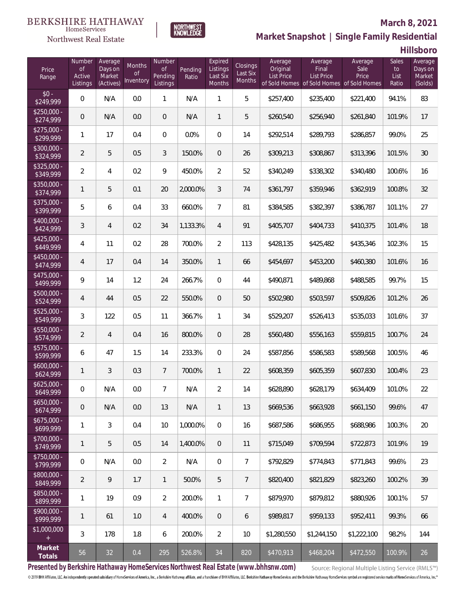#### **BERKSHIRE HATHAWAY** HomeServices

## Northwest Real Estate



## **Market Snapshot | Single Family Residential**

**Hillsboro**

**March 8, 2021**

| Price<br>Range            | Number<br>$\mathsf{of}$<br>Active<br>Listings | Average<br>Days on<br>Market<br>(Actives) | Months<br><b>of</b><br>Inventory | Number<br><b>of</b><br>Pending<br>Listings | Pending<br>Ratio | Expired<br>Listings<br>Last Six<br><b>Months</b> | Closings<br>Last Six<br>Months | Average<br>Original<br>List Price | Average<br>Final<br><b>List Price</b><br>of Sold Homes of Sold Homes of Sold Homes | Average<br>Sale<br>Price | Sales<br>to<br>List<br>Ratio | Average<br>Days on<br>Market<br>(Solds) |
|---------------------------|-----------------------------------------------|-------------------------------------------|----------------------------------|--------------------------------------------|------------------|--------------------------------------------------|--------------------------------|-----------------------------------|------------------------------------------------------------------------------------|--------------------------|------------------------------|-----------------------------------------|
| $$0 -$<br>\$249,999       | 0                                             | N/A                                       | 0.0                              | $\mathbf{1}$                               | N/A              | $\mathbf{1}$                                     | 5                              | \$257,400                         | \$235,400                                                                          | \$221,400                | 94.1%                        | 83                                      |
| $$250.000 -$<br>\$274,999 | 0                                             | N/A                                       | 0.0                              | $\overline{0}$                             | N/A              | $\mathbf{1}$                                     | 5                              | \$260,540                         | \$256,940                                                                          | \$261,840                | 101.9%                       | 17                                      |
| $$275.000 -$<br>\$299,999 | 1                                             | 17                                        | 0.4                              | $\overline{0}$                             | 0.0%             | $\mathbf{0}$                                     | 14                             | \$292,514                         | \$289,793                                                                          | \$286,857                | 99.0%                        | 25                                      |
| $$300.000 -$<br>\$324,999 | $\overline{2}$                                | 5                                         | 0.5                              | 3                                          | 150.0%           | $\overline{0}$                                   | 26                             | \$309,213                         | \$308,867                                                                          | \$313,396                | 101.5%                       | 30                                      |
| $$325,000 -$<br>\$349,999 | 2                                             | 4                                         | 0.2                              | 9                                          | 450.0%           | $\overline{2}$                                   | 52                             | \$340,249                         | \$338,302                                                                          | \$340,480                | 100.6%                       | 16                                      |
| $$350,000 -$<br>\$374,999 | 1                                             | 5                                         | 0.1                              | 20                                         | 2,000.0%         | 3                                                | 74                             | \$361,797                         | \$359,946                                                                          | \$362,919                | 100.8%                       | 32                                      |
| $$375,000 -$<br>\$399,999 | 5                                             | 6                                         | 0.4                              | 33                                         | 660.0%           | $\overline{7}$                                   | 81                             | \$384,585                         | \$382,397                                                                          | \$386,787                | 101.1%                       | 27                                      |
| $$400,000 -$<br>\$424,999 | 3                                             | $\overline{4}$                            | 0.2                              | 34                                         | 1,133.3%         | $\overline{4}$                                   | 91                             | \$405,707                         | \$404,733                                                                          | \$410,375                | 101.4%                       | 18                                      |
| $$425,000 -$<br>\$449,999 | 4                                             | 11                                        | 0.2                              | 28                                         | 700.0%           | $\overline{2}$                                   | 113                            | \$428,135                         | \$425,482                                                                          | \$435,346                | 102.3%                       | 15                                      |
| $$450,000 -$<br>\$474,999 | 4                                             | 17                                        | 0.4                              | 14                                         | 350.0%           | $\mathbf{1}$                                     | 66                             | \$454,697                         | \$453,200                                                                          | \$460,380                | 101.6%                       | 16                                      |
| $$475,000 -$<br>\$499,999 | 9                                             | 14                                        | 1.2                              | 24                                         | 266.7%           | $\overline{0}$                                   | 44                             | \$490,871                         | \$489,868                                                                          | \$488,585                | 99.7%                        | 15                                      |
| \$500,000 -<br>\$524,999  | 4                                             | 44                                        | 0.5                              | 22                                         | 550.0%           | $\overline{0}$                                   | 50                             | \$502,980                         | \$503,597                                                                          | \$509,826                | 101.2%                       | 26                                      |
| $$525,000 -$<br>\$549,999 | 3                                             | 122                                       | 0.5                              | 11                                         | 366.7%           | $\mathbf{1}$                                     | 34                             | \$529,207                         | \$526,413                                                                          | \$535,033                | 101.6%                       | 37                                      |
| $$550,000 -$<br>\$574,999 | $\overline{2}$                                | $\overline{4}$                            | 0.4                              | 16                                         | 800.0%           | $\overline{0}$                                   | 28                             | \$560,480                         | \$556,163                                                                          | \$559,815                | 100.7%                       | 24                                      |
| \$575,000 -<br>\$599,999  | 6                                             | 47                                        | 1.5                              | 14                                         | 233.3%           | $\overline{0}$                                   | 24                             | \$587,856                         | \$586,583                                                                          | \$589,568                | 100.5%                       | 46                                      |
| $$600,000 -$<br>\$624,999 | 1                                             | 3                                         | 0.3                              | $7^{\circ}$                                | 700.0%           | $\mathbf{1}$                                     | 22                             | \$608,359                         | \$605,359                                                                          | \$607,830                | 100.4%                       | 23                                      |
| $$625,000 -$<br>\$649,999 | 0                                             | N/A                                       | $0.0\,$                          | $\overline{7}$                             | N/A              | 2                                                | 14                             | \$628,890                         | \$628,179                                                                          | \$634,409                | 101.0%                       | 22                                      |
| $$650,000 -$<br>\$674,999 | 0                                             | N/A                                       | 0.0                              | 13                                         | N/A              | $\mathbf{1}$                                     | 13                             | \$669,536                         | \$663,928                                                                          | \$661,150                | 99.6%                        | 47                                      |
| $$675,000 -$<br>\$699,999 | 1                                             | 3                                         | 0.4                              | 10                                         | 1,000.0%         | $\mathbf{0}$                                     | 16                             | \$687,586                         | \$686,955                                                                          | \$688,986                | 100.3%                       | 20                                      |
| $$700,000 -$<br>\$749,999 | 1                                             | 5                                         | 0.5                              | 14                                         | 1,400.0%         | $\overline{0}$                                   | 11                             | \$715.049                         | \$709.594                                                                          | \$722,873                | 101.9%                       | 19                                      |
| $$750,000 -$<br>\$799,999 | 0                                             | N/A                                       | 0.0                              | $\overline{2}$                             | N/A              | $\overline{0}$                                   | $\overline{7}$                 | \$792,829                         | \$774,843                                                                          | \$771,843                | 99.6%                        | 23                                      |
| \$800,000 -<br>\$849,999  | 2                                             | 9                                         | 1.7                              | $\mathbf{1}$                               | 50.0%            | 5                                                | $7\phantom{.0}$                | \$820,400                         | \$821,829                                                                          | \$823,260                | 100.2%                       | 39                                      |
| \$850,000 -<br>\$899,999  | 1                                             | 19                                        | 0.9                              | $\overline{2}$                             | 200.0%           | $\mathbf{1}$                                     | $\overline{7}$                 | \$879,970                         | \$879,812                                                                          | \$880,926                | 100.1%                       | 57                                      |
| $$900,000 -$<br>\$999,999 | 1                                             | 61                                        | 1.0                              | $\overline{4}$                             | 400.0%           | $\overline{0}$                                   | 6                              | \$989,817                         | \$959,133                                                                          | \$952,411                | 99.3%                        | 66                                      |
| \$1,000,000               | 3                                             | 178                                       | 1.8                              | 6                                          | 200.0%           | $\overline{2}$                                   | 10                             | \$1,280,550                       | \$1,244,150                                                                        | \$1,222,100              | 98.2%                        | 144                                     |
| Market<br>Totals          | 56                                            | 32                                        | 0.4                              | 295                                        | 526.8%           | 34                                               | 820                            | \$470,913                         | \$468,204                                                                          | \$472,550                | 100.9%                       | 26                                      |

**Presented by Berkshire Hathaway HomeServices Northwest Real Estate (www.bhhsnw.com)**

Source: Regional Multiple Listing Service (RMLS™)